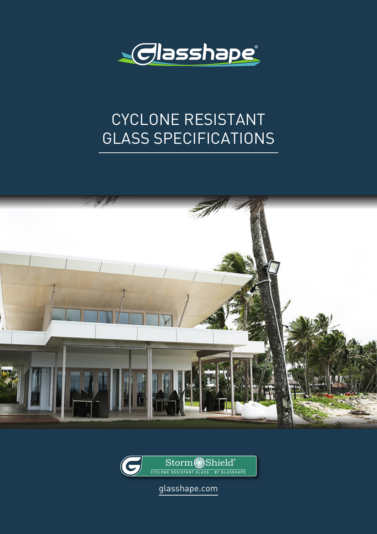

# CYCLONE RESISTANT GLASS SPECIFICATIONS





glasshape.com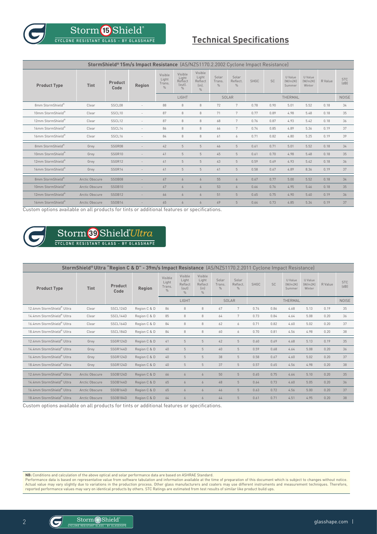$\operatorname{Storm}$  **5** Shield $^{\circ}$ **CYCLONE RESISTANT GLASS - BY GLASSHAPE**

## **Technical Specifications**

| StormShield®15m/s Impact Resistance (AS/NZS1170.2.2002 Cyclone Impact Resistance) |                |                 |        |                                             |                                                           |                                                       |                                  |                                    |             |           |                              |                              |         |                    |
|-----------------------------------------------------------------------------------|----------------|-----------------|--------|---------------------------------------------|-----------------------------------------------------------|-------------------------------------------------------|----------------------------------|------------------------------------|-------------|-----------|------------------------------|------------------------------|---------|--------------------|
| <b>Product Type</b>                                                               | Tint           | Product<br>Code | Region | Visible<br>Light<br>Trans.<br>$\frac{0}{0}$ | Visible<br>Light<br>Reflect<br>$(out)$ .<br>$\frac{0}{0}$ | Visible<br>Light<br>Reflect<br>(in).<br>$\frac{0}{n}$ | Solar<br>Trans.<br>$\frac{0}{0}$ | Solar<br>Reflect.<br>$\frac{0}{0}$ | <b>SHGC</b> | <b>SC</b> | U Value<br>[W/m2K]<br>Summer | U Value<br>[W/m2K]<br>Winter | R Value | <b>STC</b><br>[dB] |
|                                                                                   |                |                 |        | LIGHT                                       |                                                           |                                                       | SOLAR                            |                                    | THERMAL     |           |                              |                              |         | <b>NOISE</b>       |
| 8mm StormShield®                                                                  | Clear          | SSCL08          |        | 88                                          | $\,8\,$                                                   | $\,8\,$                                               | 72                               | $\overline{7}$                     | 0.78        | 0.90      | 5.01                         | 5.52                         | 0.18    | 34                 |
| 10mm StormShield®                                                                 | Clear          | SSCL10          |        | 87                                          | $\,8\,$                                                   | $\,8\,$                                               | 71                               | $7\overline{ }$                    | 0.77        | 0.89      | 4.98                         | 5.48                         | 0.18    | 35                 |
| 12mm StormShield®                                                                 | Clear          | SSCL12          |        | 87                                          | 8                                                         | 8                                                     | 68                               | $7\overline{ }$                    | 0.76        | 0.87      | 4.93                         | 5.42                         | 0.18    | 36                 |
| 14mm StormShield®                                                                 | Clear          | SSCL14          |        | 86                                          | $\,8\,$                                                   | $\,8\,$                                               | 66                               | 7                                  | 0.74        | 0.85      | 4.89                         | 5.36                         | 0.19    | 37                 |
| 16mm StormShield®                                                                 | Clear          | SSCL16          |        | 84                                          | $\,8\,$                                                   | $\,8\,$                                               | 61                               | 6                                  | 0.71        | 0.82      | 4.80                         | 5.25                         | 0.19    | 39                 |
| 8mm StormShield®                                                                  | Grey           | SSGR08          |        | 42                                          | 5                                                         | $5\phantom{.0}$                                       | 46                               | $5\,$                              | 0.61        | 0.71      | 5.01                         | 5.52                         | 0.18    | 34                 |
| 10mm StormShield®                                                                 | Grey           | SSGR10          |        | 41                                          | 5                                                         | 5                                                     | 45                               | 5                                  | 0.61        | 0.70      | 4.98                         | 5.48                         | 0.18    | 35                 |
| 12mm StormShield®                                                                 | Grey           | SSGR12          |        | 41                                          | 5                                                         | 5                                                     | 43                               | 5                                  | 0.59        | 0.69      | 4.93                         | 5.42                         | 0.18    | 36                 |
| 14mm StormShield®                                                                 | Grey           | SSGR14          |        | 41                                          | 5                                                         | 5                                                     | 41                               | 5                                  | 0.58        | 0.67      | 4.89                         | 8.36                         | 0.19    | 37                 |
| 8mm StormShield®                                                                  | Arctic Obscure | <b>SSOB08</b>   | ۰      | 67                                          | 6                                                         | 6                                                     | 55                               | 6                                  | 0.67        | 0.77      | 5.00                         | 5.52                         | 0.18    | 34                 |
| 10mm StormShield®                                                                 | Arctic Obscure | <b>SS0B10</b>   | ×.     | 67                                          | 6                                                         | 6                                                     | 53                               | 6                                  | 0.66        | 0.76      | 4.95                         | 5.46                         | 0.18    | 35                 |
| 12mm StormShield®                                                                 | Arctic Obscure | <b>SS0B12</b>   | ×.     | 66                                          | 6                                                         | 6                                                     | 51                               | 5                                  | 0.65        | 0.75      | 4.90                         | 5.40                         | 0.19    | 36                 |
| 14mm StormShield®                                                                 | Arctic Obscure | <b>SS0B14</b>   |        | 65                                          | 6                                                         | 6                                                     | 49                               | 5                                  | 0.64        | 0.73      | 4.85                         | 5.34                         | 0.19    | 37                 |

Custom options available on all products for tints or additional features or specifications.



## Storm <sup>89</sup> Shield<sup>°</sup>Ultra

| StormShield® Ultra "Region C & D" - 39m/s Impact Resistance (AS/NZS1170.2.2011 Cyclone Impact Resistance) |                |                 |              |                                    |                                                       |                                             |                                  |                                    |             |           |                              |                              |              |                    |
|-----------------------------------------------------------------------------------------------------------|----------------|-----------------|--------------|------------------------------------|-------------------------------------------------------|---------------------------------------------|----------------------------------|------------------------------------|-------------|-----------|------------------------------|------------------------------|--------------|--------------------|
| <b>Product Type</b>                                                                                       | Tint           | Product<br>Code | Region       | Visible<br>Light<br>Trans.<br>$\%$ | Visible<br>Light<br>Reflect<br>(out)<br>$\frac{0}{n}$ | Visible<br>Light<br>Reflect<br>(in)<br>$\%$ | Solar<br>Trans.<br>$\frac{0}{n}$ | Solar<br>Reflect.<br>$\frac{0}{0}$ | <b>SHGC</b> | <b>SC</b> | U Value<br>[W/m2K]<br>Summer | U Value<br>[W/m2K]<br>Winter | R Value      | <b>STC</b><br>[dB] |
|                                                                                                           |                |                 |              | LIGHT                              |                                                       | SOLAR                                       |                                  | THERMAL                            |             |           |                              |                              | <b>NOISE</b> |                    |
| 12.4mm StormShield® Ultra                                                                                 | Clear          | SSCL124D        | Region C & D | 86                                 | 8                                                     | 8                                           | 67                               | 7                                  | 0.74        | 0.86      | 4.68                         | 5.13                         | 0.19         | 35                 |
| 14.4mm StormShield® Ultra                                                                                 | Clear          | SSCL144D        | Region C & D | 85                                 | 8                                                     | 8                                           | 64                               | 7                                  | 0.73        | 0.84      | 4.64                         | 5.08                         | 0.20         | 36                 |
| 16.4mm StormShield® Ultra                                                                                 | Clear          | SSCL164D        | Region C & D | 84                                 | 8                                                     | 8                                           | 62                               | 6                                  | 0.71        | 0.82      | 4.60                         | 5.02                         | 0.20         | 37                 |
| 18.4mm StormShield® Ultra                                                                                 | Clear          | SSCL184D        | Region C & D | 84                                 | 8                                                     | 8                                           | 60                               | 6                                  | 0.70        | 0.81      | 4.56                         | 4.98                         | 0.20         | 38                 |
| 12.4mm StormShield® Ultra                                                                                 | Grev           | SSGR124D        | Region C & D | 41                                 | 5                                                     | 5                                           | 42                               | 5                                  | 0.60        | 0.69      | 4.68                         | 5.13                         | 0.19         | 35                 |
| 14.4mm StormShield® Ultra                                                                                 | Grev           | SSGR144D        | Region C & D | 40                                 | 5                                                     | 5                                           | 40                               | 5                                  | 0.59        | 0.68      | 4.64                         | 5.08                         | 0.20         | 36                 |
| 16.4mm StormShield® Ultra                                                                                 | Grev           | SSGR124D        | Region C & D | 40                                 | 5                                                     | 5                                           | 38                               | 5                                  | 0.58        | 0.67      | 4.60                         | 5.02                         | 0.20         | 37                 |
| 18.4mm StormShield® Ultra                                                                                 | Grey           | SSGR124D        | Region C & D | 40                                 | 5                                                     | 5                                           | 37                               | 5                                  | 0.57        | 0.65      | 4.56                         | 4.98                         | 0.20         | 38                 |
| 12.4mm StormShield® Ultra                                                                                 | Arctic Obscure | <b>SSOB124D</b> | Region C & D | 66                                 | 6                                                     | 6                                           | 50                               | 5                                  | 0.65        | 0.75      | 4.64                         | 5.10                         | 0.20         | 35                 |
| 14.4mm StormShield® Ultra                                                                                 | Arctic Obscure | <b>SSOB144D</b> | Region C & D | 65                                 | 6                                                     | 6                                           | 48                               | 5                                  | 0.64        | 0.73      | 4.60                         | 5.05                         | 0.20         | 36                 |
| 16.4mm StormShield® Ultra                                                                                 | Arctic Obscure | <b>SSOB164D</b> | Region C & D | 65                                 | $\overline{6}$                                        | 6                                           | 46                               | 5                                  | 0.63        | 0.72      | 4.56                         | 5.00                         | 0.20         | 37                 |
| 18.4mm StormShield® Ultra                                                                                 | Arctic Obscure | <b>SSOB184D</b> | Region C & D | 64                                 | 6                                                     | 6                                           | 44                               | 5                                  | 0.61        | 0.71      | 4.51                         | 4.95                         | 0.20         | 38                 |
| Custom options available on all products for tints or additional features or specifications.              |                |                 |              |                                    |                                                       |                                             |                                  |                                    |             |           |                              |                              |              |                    |

**NB:** Conditions and calculation of the above optical and solar performance data are based on ASHRAE Standard.

Performance data is based on representative value from software tabulation and information available at the time of preparation of this document which is subject to changes without notice.<br>Actual value may vary slightly du

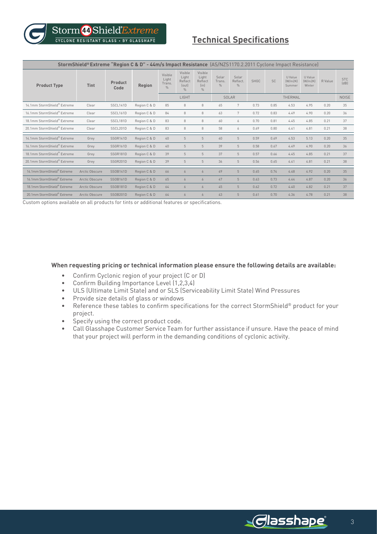### **Technical Specifications**

| StormShield® Extreme "Region C & D" - 44m/s Impact Resistance (AS/NZS1170.2.2011 Cyclone Impact Resistance) |                |                 |              |                                             |                                              |                                             |                         |                           |             |      |                              |                              |              |                    |
|-------------------------------------------------------------------------------------------------------------|----------------|-----------------|--------------|---------------------------------------------|----------------------------------------------|---------------------------------------------|-------------------------|---------------------------|-------------|------|------------------------------|------------------------------|--------------|--------------------|
| <b>Product Type</b>                                                                                         | Tint           | Product<br>Code | Region       | Visible<br>Light<br>Trans.<br>$\frac{0}{n}$ | Visible<br>Light<br>Reflect<br>(out)<br>$\%$ | Visible<br>Light<br>Reflect<br>(in)<br>$\%$ | Solar<br>Trans.<br>$\%$ | Solar<br>Reflect.<br>$\%$ | <b>SHGC</b> | SC   | U Value<br>[W/m2K]<br>Summer | U Value<br>[W/m2K]<br>Winter | R Value      | <b>STC</b><br>[dB] |
|                                                                                                             |                |                 |              | LIGHT                                       |                                              | <b>SOLAR</b>                                |                         | <b>THERMAL</b>            |             |      |                              |                              | <b>NOISE</b> |                    |
| 14.1mm StormShield® Extreme                                                                                 | Clear          | SSCL141D        | Region C & D | 85                                          | 8                                            | 8                                           | 65                      | 7                         | 0.73        | 0.85 | 4.53                         | 4.95                         | 0.20         | 35                 |
| 16.1mm StormShield® Extreme                                                                                 | Clear          | SSCL161D        | Region C & D | 84                                          | 8                                            | 8                                           | 63                      | 7                         | 0.72        | 0.83 | 4.49                         | 4.90                         | 0.20         | 36                 |
| 18.1mm StormShield® Extreme                                                                                 | Clear          | SSCL181D        | Region C & D | 83                                          | 8                                            | 8                                           | 60                      | 6                         | 0.70        | 0.81 | 4.45                         | 4.85                         | 0.21         | 37                 |
| 20.1mm StormShield® Extreme                                                                                 | Clear          | SSCL201D        | Region C & D | 83                                          | 8                                            | 8                                           | 58                      | 6                         | 0.69        | 0.80 | 4.41                         | 4.81                         | 0.21         | 38                 |
| 14.1mm StormShield® Extreme                                                                                 | Grev           | SSGR141D        | Region C & D | 40                                          | $5\overline{5}$                              | $5\overline{5}$                             | 40                      | $5\overline{5}$           | 0.59        | 0.69 | 4.53                         | 5.13                         | 0.20         | 35                 |
| 16.1mm StormShield® Extreme                                                                                 | Grev           | SSGR161D        | Region C & D | 40                                          | $5\overline{5}$                              | $5\overline{5}$                             | 39                      | $5\overline{5}$           | 0.58        | 0.67 | 4.49                         | 4.90                         | 0.20         | 36                 |
| 18.1mm StormShield® Extreme                                                                                 | Grev           | SSGR181D        | Region C & D | 39                                          | 5                                            | 5                                           | 37                      | 5                         | 0.57        | 0.66 | 4.45                         | 4.85                         | 0.21         | 37                 |
| 20.1mm StormShield® Extreme                                                                                 | Grey           | SSGR201D        | Region C & D | 39                                          | 5                                            | 5                                           | 36                      | 5                         | 0.56        | 0.65 | 4.41                         | 4.81                         | 0.21         | 38                 |
| 14.1mm StormShield® Extreme                                                                                 | Arctic Obscure | <b>SSOB141D</b> | Region C & D | 66                                          | 6                                            | 6                                           | 49                      | 5                         | 0.65        | 0.74 | 4.48                         | 4.92                         | 0.20         | 35                 |
| 16.1mm StormShield® Extreme                                                                                 | Arctic Obscure | <b>SSOB161D</b> | Region C & D | 65                                          | $\overline{6}$                               | 6                                           | 47                      | $5\overline{5}$           | 0.63        | 0.73 | 4.44                         | 4.87                         | 0.20         | 36                 |
| 18.1mm StormShield® Extreme                                                                                 | Arctic Obscure | <b>SSOB181D</b> | Region C & D | 64                                          | $\sqrt{2}$                                   | 6                                           | 45                      | 5                         | 0.62        | 0.72 | 4.40                         | 4.82                         | 0.21         | 37                 |
| 20.1mm StormShield® Extreme                                                                                 | Arctic Obscure | <b>SSOB201D</b> | Region C & D | 64                                          | $\overline{6}$                               | $\overline{6}$                              | 43                      | $5\overline{5}$           | 0.61        | 0.70 | 4.36                         | 4.78                         | 0.21         | 38                 |

Custom options available on all products for tints or additional features or specifications.

#### **When requesting pricing or technical information please ensure the following details are available:**

- Confirm Cyclonic region of your project (C or D)
- Confirm Building Importance Level (1,2,3,4)
- ULS (Ultimate Limit State) and or SLS (Serviceability Limit State) Wind Pressures
- Provide size details of glass or windows
- Reference these tables to confirm specifications for the correct StormShield® product for your project.
- Specify using the correct product code.
- Call Glasshape Customer Service Team for further assistance if unsure. Have the peace of mind that your project will perform in the demanding conditions of cyclonic activity.